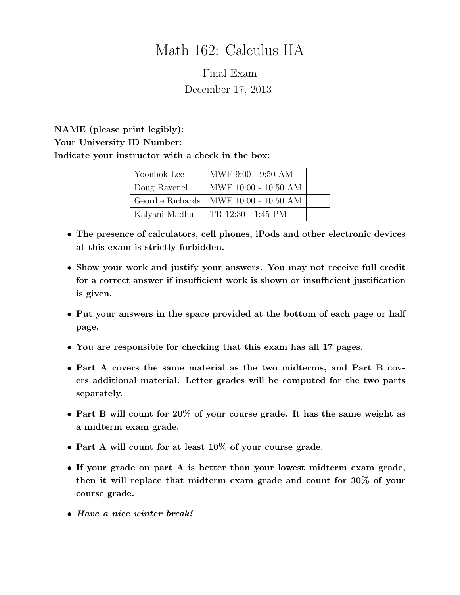# Math 162: Calculus IIA

Final Exam December 17, 2013

NAME (please print legibly): Your University ID Number:  $\equiv$ Indicate your instructor with a check in the box:

| Yoonbok Lee   | MWF 9:00 - 9:50 AM                    |  |
|---------------|---------------------------------------|--|
| Doug Ravenel  | MWF 10:00 - 10:50 AM                  |  |
|               | Geordie Richards MWF 10:00 - 10:50 AM |  |
| Kalyani Madhu | TR 12:30 - 1:45 PM                    |  |

- The presence of calculators, cell phones, iPods and other electronic devices at this exam is strictly forbidden.
- Show your work and justify your answers. You may not receive full credit for a correct answer if insufficient work is shown or insufficient justification is given.
- Put your answers in the space provided at the bottom of each page or half page.
- You are responsible for checking that this exam has all 17 pages.
- Part A covers the same material as the two midterms, and Part B covers additional material. Letter grades will be computed for the two parts separately.
- Part B will count for 20% of your course grade. It has the same weight as a midterm exam grade.
- Part A will count for at least 10% of your course grade.
- If your grade on part A is better than your lowest midterm exam grade, then it will replace that midterm exam grade and count for 30% of your course grade.
- Have a nice winter break!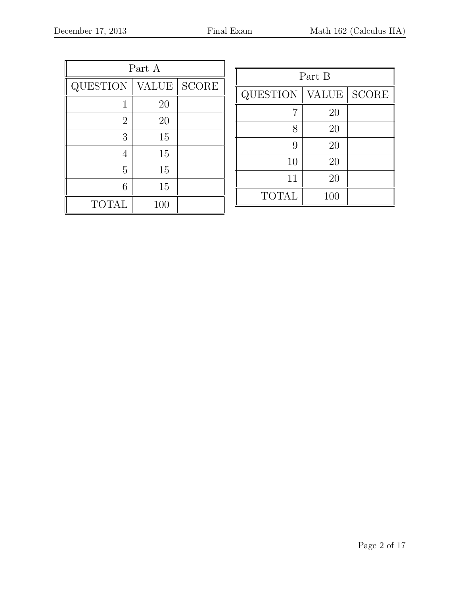| Part A          |              |              |  |  |
|-----------------|--------------|--------------|--|--|
| <b>QUESTION</b> | <b>VALUE</b> | <b>SCORE</b> |  |  |
| 1               | 20           |              |  |  |
| $\overline{2}$  | 20           |              |  |  |
| 3               | 15           |              |  |  |
| 4               | 15           |              |  |  |
| 5               | 15           |              |  |  |
| 6               | 15           |              |  |  |
| <b>TOTAL</b>    | 100          |              |  |  |

| Part B          |              |              |  |  |
|-----------------|--------------|--------------|--|--|
| <b>QUESTION</b> | <b>VALUE</b> | <b>SCORE</b> |  |  |
|                 | 20           |              |  |  |
| 8               | 20           |              |  |  |
| 9               | 20           |              |  |  |
| 10              | 20           |              |  |  |
| 11              | 20           |              |  |  |
| <b>TOTAL</b>    | 100          |              |  |  |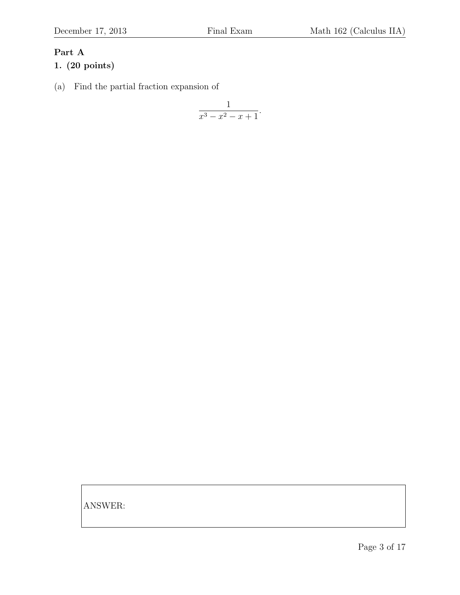# Part A

## 1. (20 points)

(a) Find the partial fraction expansion of

$$
\frac{1}{x^3 - x^2 - x + 1}.
$$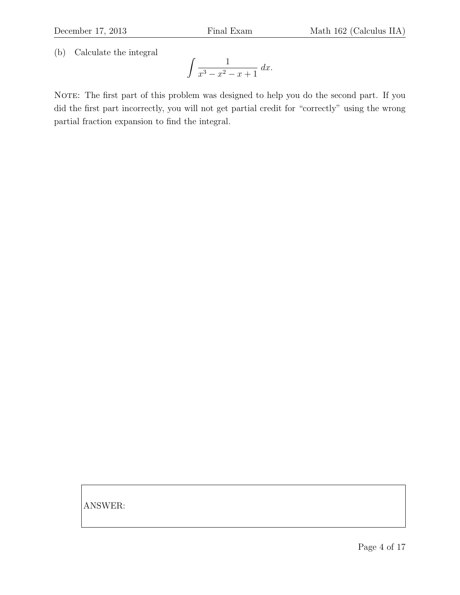(b) Calculate the integral

$$
\int \frac{1}{x^3 - x^2 - x + 1} \, dx.
$$

NOTE: The first part of this problem was designed to help you do the second part. If you did the first part incorrectly, you will not get partial credit for "correctly" using the wrong partial fraction expansion to find the integral.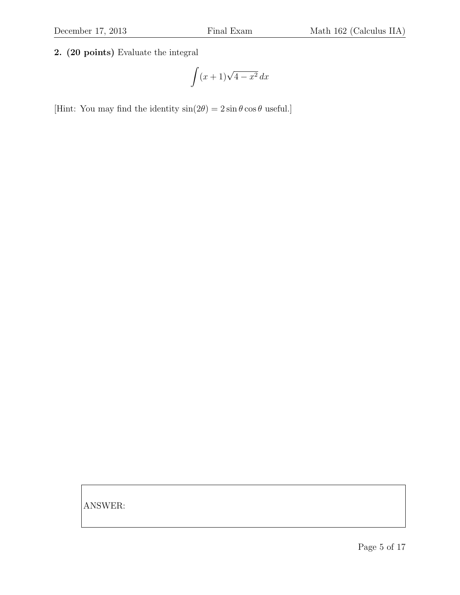2. (20 points) Evaluate the integral

$$
\int (x+1)\sqrt{4-x^2}\,dx
$$

[Hint: You may find the identity  $sin(2\theta) = 2 sin \theta cos \theta$  useful.]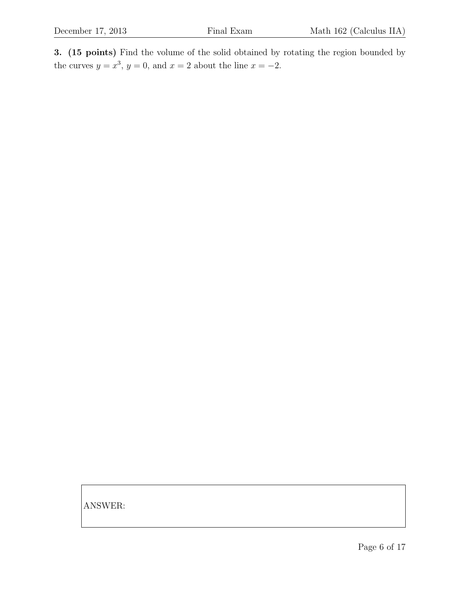3. (15 points) Find the volume of the solid obtained by rotating the region bounded by the curves  $y = x^3$ ,  $y = 0$ , and  $x = 2$  about the line  $x = -2$ .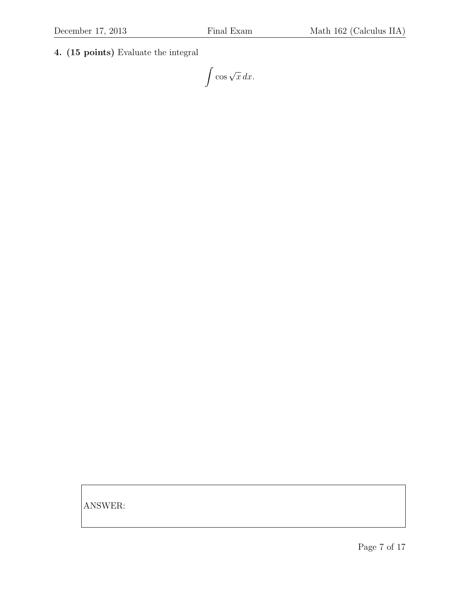4. (15 points) Evaluate the integral

 $\int \cos \sqrt{x} \, dx.$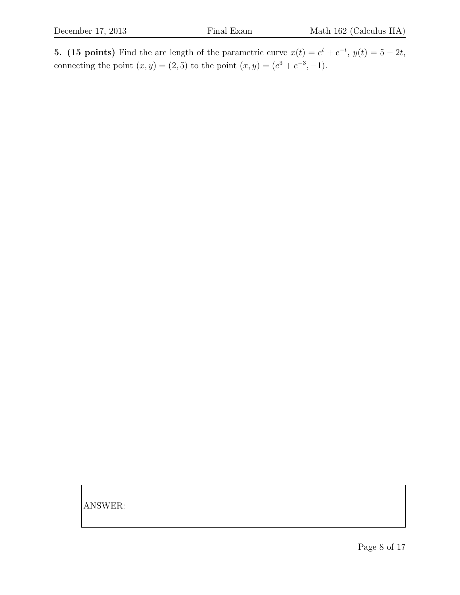**5.** (15 points) Find the arc length of the parametric curve  $x(t) = e^t + e^{-t}$ ,  $y(t) = 5 - 2t$ , connecting the point  $(x, y) = (2, 5)$  to the point  $(x, y) = (e^{3} + e^{-3}, -1)$ .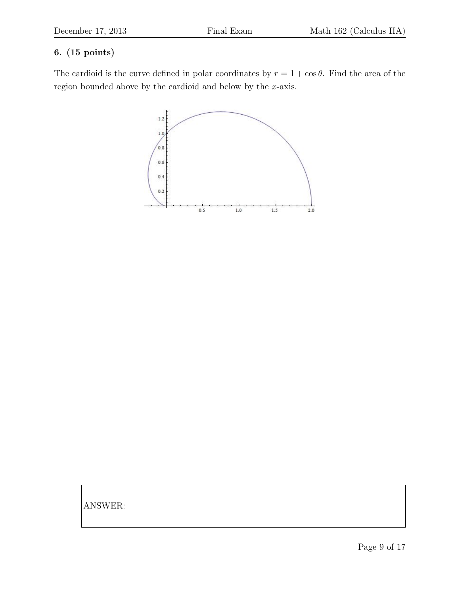### 6. (15 points)

The cardioid is the curve defined in polar coordinates by  $r = 1 + \cos \theta$ . Find the area of the region bounded above by the cardioid and below by the x-axis.

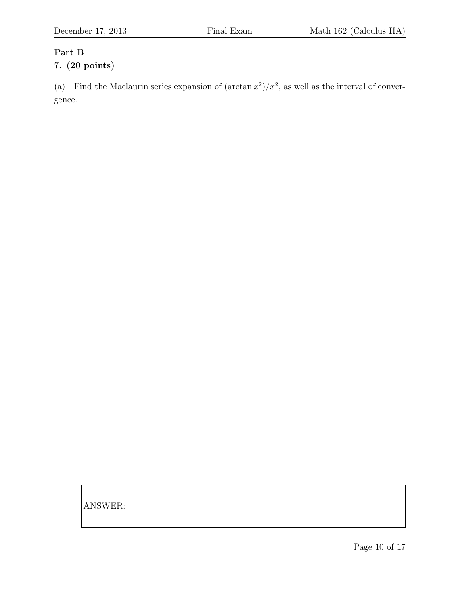#### Part B

# 7. (20 points)

(a) Find the Maclaurin series expansion of  $(\arctan x^2)/x^2$ , as well as the interval of convergence.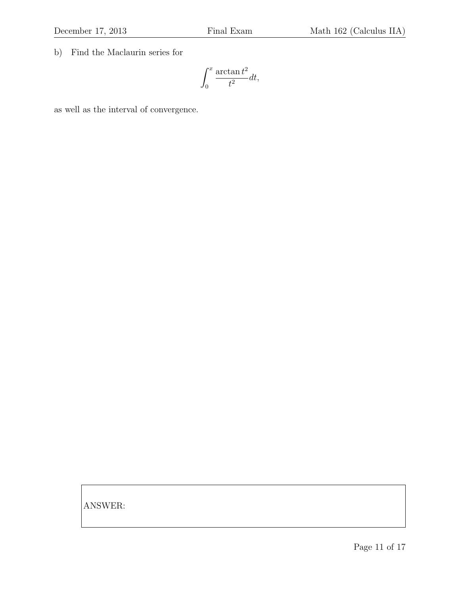b) Find the Maclaurin series for

$$
\int_0^x \frac{\arctan t^2}{t^2} dt,
$$

as well as the interval of convergence.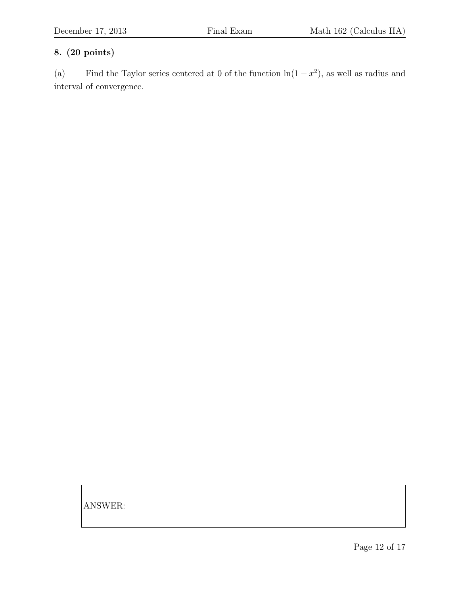### 8. (20 points)

(a) Find the Taylor series centered at 0 of the function  $\ln(1-x^2)$ , as well as radius and interval of convergence.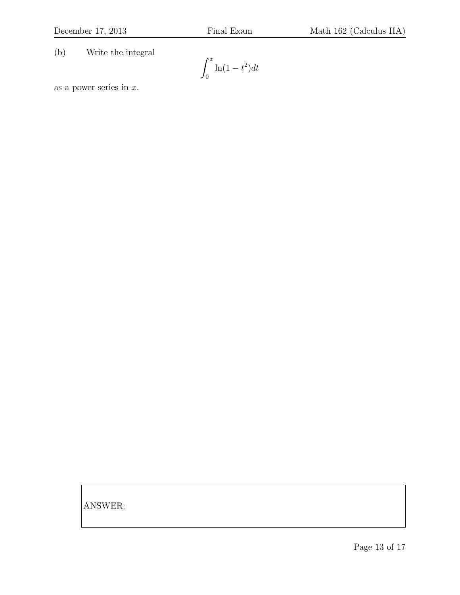(b) Write the integral

$$
\int_0^x \ln(1-t^2)dt
$$

as a power series in  $x$ .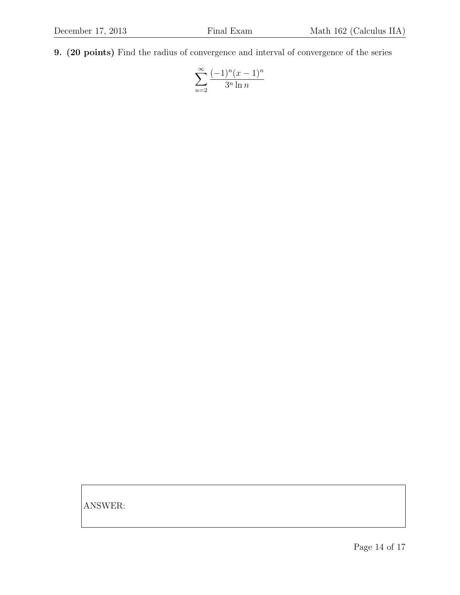9. (20 points) Find the radius of convergence and interval of convergence of the series

$$
\sum_{n=2}^{\infty} \frac{(-1)^n (x-1)^n}{3^n \ln n}
$$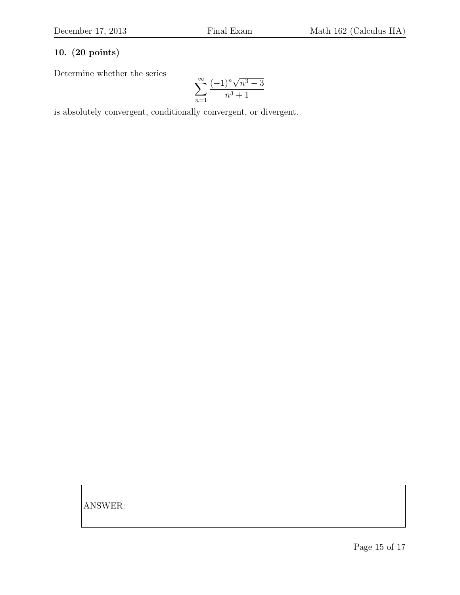## 10. (20 points)

Determine whether the series

$$
\sum_{n=1}^{\infty} \frac{(-1)^n \sqrt{n^3 - 3}}{n^3 + 1}
$$

is absolutely convergent, conditionally convergent, or divergent.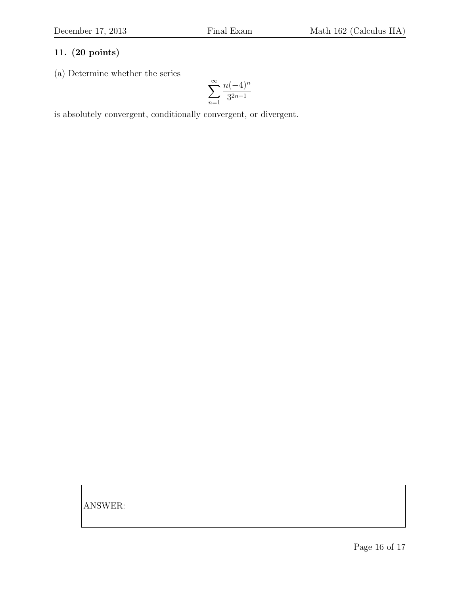### 11. (20 points)

(a) Determine whether the series

$$
\sum_{n=1}^\infty\frac{n(-4)^n}{3^{2n+1}}
$$

is absolutely convergent, conditionally convergent, or divergent.